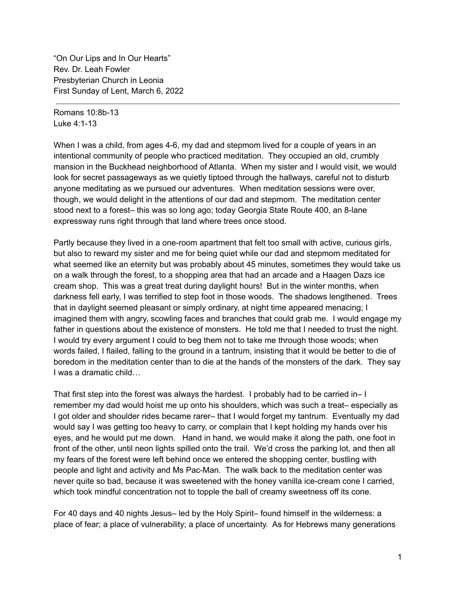"On Our Lips and In Our Hearts" Rev. Dr. Leah Fowler Presbyterian Church in Leonia First Sunday of Lent, March 6, 2022

Romans 10:8b-13 Luke 4:1-13

When I was a child, from ages 4-6, my dad and stepmom lived for a couple of years in an intentional community of people who practiced meditation. They occupied an old, crumbly mansion in the Buckhead neighborhood of Atlanta. When my sister and I would visit, we would look for secret passageways as we quietly tiptoed through the hallways, careful not to disturb anyone meditating as we pursued our adventures. When meditation sessions were over, though, we would delight in the attentions of our dad and stepmom. The meditation center stood next to a forest– this was so long ago; today Georgia State Route 400, an 8-lane expressway runs right through that land where trees once stood.

Partly because they lived in a one-room apartment that felt too small with active, curious girls, but also to reward my sister and me for being quiet while our dad and stepmom meditated for what seemed like an eternity but was probably about 45 minutes, sometimes they would take us on a walk through the forest, to a shopping area that had an arcade and a Haagen Dazs ice cream shop. This was a great treat during daylight hours! But in the winter months, when darkness fell early, I was terrified to step foot in those woods. The shadows lengthened. Trees that in daylight seemed pleasant or simply ordinary, at night time appeared menacing; I imagined them with angry, scowling faces and branches that could grab me. I would engage my father in questions about the existence of monsters. He told me that I needed to trust the night. I would try every argument I could to beg them not to take me through those woods; when words failed, I flailed, falling to the ground in a tantrum, insisting that it would be better to die of boredom in the meditation center than to die at the hands of the monsters of the dark. They say I was a dramatic child…

That first step into the forest was always the hardest. I probably had to be carried in– I remember my dad would hoist me up onto his shoulders, which was such a treat– especially as I got older and shoulder rides became rarer– that I would forget my tantrum. Eventually my dad would say I was getting too heavy to carry, or complain that I kept holding my hands over his eyes, and he would put me down. Hand in hand, we would make it along the path, one foot in front of the other, until neon lights spilled onto the trail. We'd cross the parking lot, and then all my fears of the forest were left behind once we entered the shopping center, bustling with people and light and activity and Ms Pac-Man. The walk back to the meditation center was never quite so bad, because it was sweetened with the honey vanilla ice-cream cone I carried, which took mindful concentration not to topple the ball of creamy sweetness off its cone.

For 40 days and 40 nights Jesus– led by the Holy Spirit– found himself in the wilderness: a place of fear; a place of vulnerability; a place of uncertainty. As for Hebrews many generations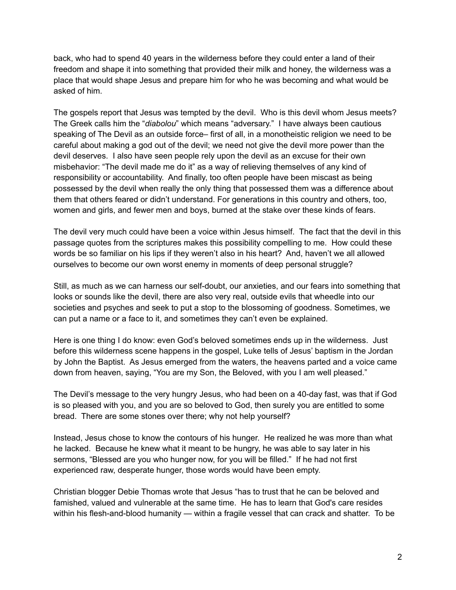back, who had to spend 40 years in the wilderness before they could enter a land of their freedom and shape it into something that provided their milk and honey, the wilderness was a place that would shape Jesus and prepare him for who he was becoming and what would be asked of him.

The gospels report that Jesus was tempted by the devil. Who is this devil whom Jesus meets? The Greek calls him the "*diabolou*" which means "adversary." I have always been cautious speaking of The Devil as an outside force– first of all, in a monotheistic religion we need to be careful about making a god out of the devil; we need not give the devil more power than the devil deserves. I also have seen people rely upon the devil as an excuse for their own misbehavior: "The devil made me do it" as a way of relieving themselves of any kind of responsibility or accountability. And finally, too often people have been miscast as being possessed by the devil when really the only thing that possessed them was a difference about them that others feared or didn't understand. For generations in this country and others, too, women and girls, and fewer men and boys, burned at the stake over these kinds of fears.

The devil very much could have been a voice within Jesus himself. The fact that the devil in this passage quotes from the scriptures makes this possibility compelling to me. How could these words be so familiar on his lips if they weren't also in his heart? And, haven't we all allowed ourselves to become our own worst enemy in moments of deep personal struggle?

Still, as much as we can harness our self-doubt, our anxieties, and our fears into something that looks or sounds like the devil, there are also very real, outside evils that wheedle into our societies and psyches and seek to put a stop to the blossoming of goodness. Sometimes, we can put a name or a face to it, and sometimes they can't even be explained.

Here is one thing I do know: even God's beloved sometimes ends up in the wilderness. Just before this wilderness scene happens in the gospel, Luke tells of Jesus' baptism in the Jordan by John the Baptist. As Jesus emerged from the waters, the heavens parted and a voice came down from heaven, saying, "You are my Son, the Beloved, with you I am well pleased."

The Devil's message to the very hungry Jesus, who had been on a 40-day fast, was that if God is so pleased with you, and you are so beloved to God, then surely you are entitled to some bread. There are some stones over there; why not help yourself?

Instead, Jesus chose to know the contours of his hunger. He realized he was more than what he lacked. Because he knew what it meant to be hungry, he was able to say later in his sermons, "Blessed are you who hunger now, for you will be filled." If he had not first experienced raw, desperate hunger, those words would have been empty.

Christian blogger Debie Thomas wrote that Jesus "has to trust that he can be beloved and famished, valued and vulnerable at the same time. He has to learn that God's care resides within his flesh-and-blood humanity — within a fragile vessel that can crack and shatter. To be